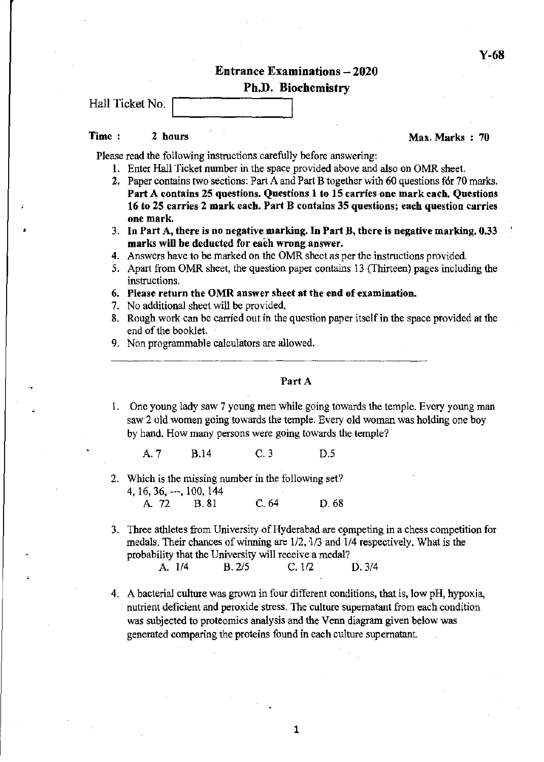**Entrance Examinations - 2020** 

#### Ph.D. Biochemistry

Hall Ticket No.

,

#### Time: 2 hours  $2 \times 2 \times 70$

Please read the following instructions carefully before answering:

- 1. Enter Hall Ticket number in the space provided above and also on OMR sheet.
- 2. Paper contains two sections: Part A and Part B together with 60 questions for 70 marks. Part A contains 25 questions. Questions 1 to 15 carries one mark each. Questions 16 to 25 carries 2 mark eacb. Part B contains 35 questions; each question carries one mark.
- 3. In Part A, there is no negative, marking. In Part B, there is negative marking. 0.33 marks will be deducted for each wrong answer.
- 4. Answers have to be marked on the OMR sheet as per the instructions provided.
- 5. Apart from OMR sheet, the question paper contains 13 (Thirteen) pages including the instructions.
- 6. Please return the OMR answer sheet at the end of examination.
- 7. No additional sheet will be provided.
- 8. Rough work can be carried out in the question paper itself in the space provided at the end of the booklet.
- 9. Non programmable calculators are allowed.

### Part A

1. One young lady saw 7 young men while going towards the temple. Every young man saw 2 old women going towards the temple. Every old woman was holding one boy by hand. How many persons were going towards the temple?

A.7 B.l4 C.3 D.5

- 2. Which is the missing number in the following set? 4, 16, 36, ---, 100, 144<br>A. 72 B. 81 A. 72 B. 81 C. 64 D. 68
- 3. Three athletes from University of Hyderabad are cpmpeting in a chess competition for medals. Their chances of winning are *112,113* and *1/4* respectively. What is the probability that the University will receive a medal?

| A. 1/4 | B. 2/5 | C. 1/2 | D.3/4 |
|--------|--------|--------|-------|
|--------|--------|--------|-------|

4. A bacterial culture was grown in four different conditions, that is, low pH, hypoxia, nutrient deficient and peroxide stress. The culture supernatant from each condition was subjected to proteomics analysis and the Venn diagram given below was generated comparing the proteins found in each culture supernatant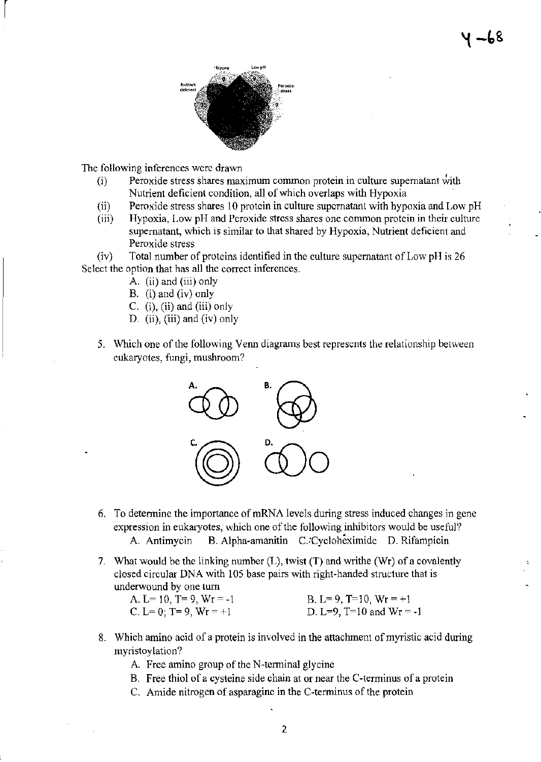

The following inferences were drawn

 $\begin{bmatrix} \phantom{-} \end{bmatrix}$ 

- $(i)$  Peroxide stress shares maximum common protein in culture supernatant with Nutrient deficient condition, all of which overlaps with Hypoxia
- (ii) Peroxide stress shares 10 protein in culture supernatant with hypoxia and Low pH
- (iii) Hypoxia, Low pH and Peroxide stress shares one conunon protein in their culture supernatant, which is similar to that shared by Hypoxia, Nutrient deficient and Peroxide stress

(iv) Total number of proteins identified in the culture supernatant of Low pH is 26 Select the option that has all the correct inferences.

- A. (ii) and (iii) only
- B. (i) and (iv) only
- C.  $(i)$ ,  $(ii)$  and  $(iii)$  only
- D. (ii), (iii) and (iv) only
- 5. Which one of the following Venn diagrams best represents the relationship between eukaryotes, fungi, mushroom?



- 6. To determine the importance of mRNA levels during stress induced changes in gene expression in eukaryotes, which one of the following inhibitors would be useful? A. Antimycin B. Alpha-amanitin C.:Cycloheximidc D. Rifampicin
- 7. What would be the linking number  $(L)$ , twist  $(T)$  and writhe  $(Wr)$  of a covalently closed circular DNA with 105 base pairs with right-handed structure that is underwound by one turn

| A. L= 10, T= 9, Wr = -1  | B. L= 9, T=10, Wr = $+1$     |
|--------------------------|------------------------------|
| C. L= 0; T= 9, Wr = $+1$ | D. L=9, $T=10$ and $Wr = -1$ |

- 8. Which amino acid of a protein is involved in the attachment of myristic acid during myristoylation?
	- A. Free amino group of the N-terminal glycine
	- B. Free thiol of a cysteine side chain at or near the C-terminus of a protein
	- C. Amide nitrogen of asparagine in the C-terminus of the protein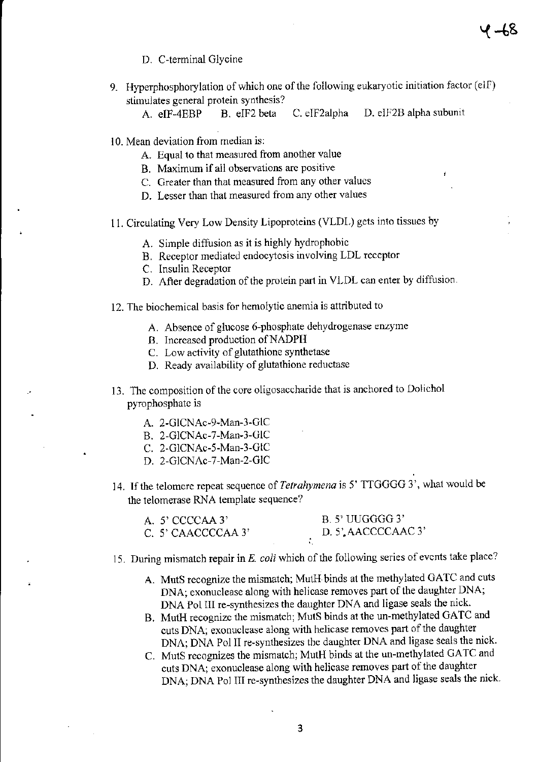- D. C-terminal Glycine
- 9. Hyperphosphorylation of which one of the following eukaryotic initiation factor (elF) stimulates general protein synthesis?

 $4 - 68$ 

- A. eIF-4EBP B. eIF2 beta C. cIF2alpha D. eIF2B alpha subunit
- 10. Mean deviation from median is:
	- A. Equal to that measured from another value
	- B. Maximum if all observations arc positive
	- C. Greater than that measured from any other values
	- D. Lesser than that measured from any other values
- 11. Circulating Very Low Density Lipoproteins (VLDL) gets into tissues by
	- A. Simple diffusion as it is highly hydrophobic
	- B. Receptor mediated endocytosis involving LDL receptor
	- C. Insulin Receptor
	- D. After degradation of the protein part in VLDL can enter by diffusion.
- 12. The biochemical basis for hemolytic anemia is attributed to
	- A. Absence of glucose 6-phosphate dehydrogenase enzyme
	- B. Increased production of NADPH
	- C. Low activity of glutathione synthetase
	- D. Ready availability of glutathione reductase
- 13. The composition of the core oligosaccharide that is anchored to Dolichol pyrophosphate is
	- A. 2-GlCNAc-9-Man-3-GIC
	- B. 2-GICNAc-7-Man-3-GIC
	- C. 2-GlCNAc-5-Man-3-GIC
	- D. 2-GICNAc-7-Man-2-GIC
- 14. Tfthe telomere repeat sequence of *Tetrahymena* is 5' TTGGGG 3', what would be the telomerase RNA template sequence?

| A. $5'$ CCCCAA $3'$ |  | B. 5' UUGGGG 3'     |
|---------------------|--|---------------------|
| C. 5' CAACCCCAA 3'  |  | D. 5', AACCCCAAC 3' |
|                     |  |                     |

- 15. During mismatch repair in *E. coli* which of the following series of events take place?
	- A. MutS recognize the mismatch; MutR. binds at the methylated GATC and cuts DNA; exonuclease along with helicase removes part of the daughter DNA; DNA Pol III re-synthesizes the daughter DNA and ligase seals the nick.
	- B, MutR recognize the mismatch; MutS binds at the un-methylated GATC and cuts DNA; exonuclease along with helicase removes part of the daughter DNA; DNA Pol II re~synthesizes the daughter DNA and ligase seals the nick.
	- C. MutS recognizes the mismatch; MutH binds at the un-methylated GATC and cuts DNA; exonuclease along with helicase removes part of the daughter DNA; DNA Pol III re~synthesizes the daughter DNA and ligase seals the nick.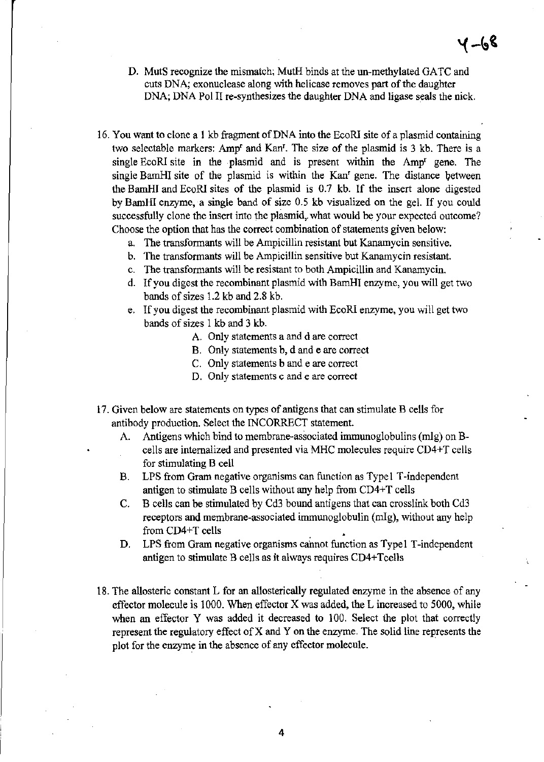- D. MutS recognize the mismatch; MutH binds at the un-methylated GATC and **cuts DNA; exonuclease along with helicase removes part** of the **daughter**  DNA; DNA Pol II re-synthesizes the daughter DNA and ligase seals the nick.
- 16. You want to clone a 1 kb fragment of DNA into the EcoRI site of a plasmid containing two selectable markers: Amp<sup>r</sup> and Kan<sup>r</sup>. The size of the plasmid is 3 kb. There is a **single EcoRl site in the plasmid and is present within the Ampr gene. The**  single BamHI site of the plasmid is within the Kan<sup>*r*</sup> gene. The distance between the BamHi and EcoRi sites of the plasmid is 0.7 kb. If the insert alone digested by BamHI enzyme, a single band of size 0.5 kb visualized on the gel. If you could **successfully clone the insert into the plasmid,. what would be your expected outcome? Choose the option that has the correct combination of statements given below:** 
	- **a. The transfonnants will be Ampicillin resistant hut Kanamycin sensitive.**
	- **b.** The transformants will be Ampicillin sensitive but Kanamycin resistant.
	- **c. The transfonnants will he resistant to both Ampicillin and Kanamycin.**
	- **d.** If you **digest the recombinant plasmid with BamHI enzyme, you will get two**  bands of sizes 1.2 kb and 2.8 kb.
	- **e.** If you **digest the recombinant plasmid with EcoR! enzyme, you will get two**  bands of sizes 1 kb and 3 kb.
		- A. **Only statements a and d are correct**
		- **B. Only statements b, d and e are correct**
		- **C. Only statements b and e are correct**
		- **D. Only statements c and e are correct**
- **17. Given below are statements on types of antigens that can stimulate B cells for**  antibody production. Select the INCORRECT statement.
	- A. **Antigens which bind to membrane-associated immunoglobulins (mIg) on Bcells are internalized and presented via MHC molecules require CD4+ T cells for stimulating B cell**
	- **B. LPS from Gram negative organisms Can function as Type! T-independent antigen to stimulate B cells without any help from CD4+T cells**
	- C. B cells can be stimulated by Cd3 bound antigens that can crosslink both Cd3 **receptors and membrane-associated immunoglobulin (mIg), without any help**  from CD4+T cells
	- **D. LPS from Gram negative organisms cannot function as Typel T-independent**  antigen to stimulate B cells as it always requires CD4+T cells
- 18. The allosteric constant L for an allosterically regulated enzyme in the absence of any effector molecule is 1000. When effector X was added, the L increased to 5000, while when an effector Y was added it decreased to 100. Select the plot that correctly **represent the regulatory effect of X and Y on the enzyme. The solid line represents the plot for the enzyme in the absence of any effector molecule.**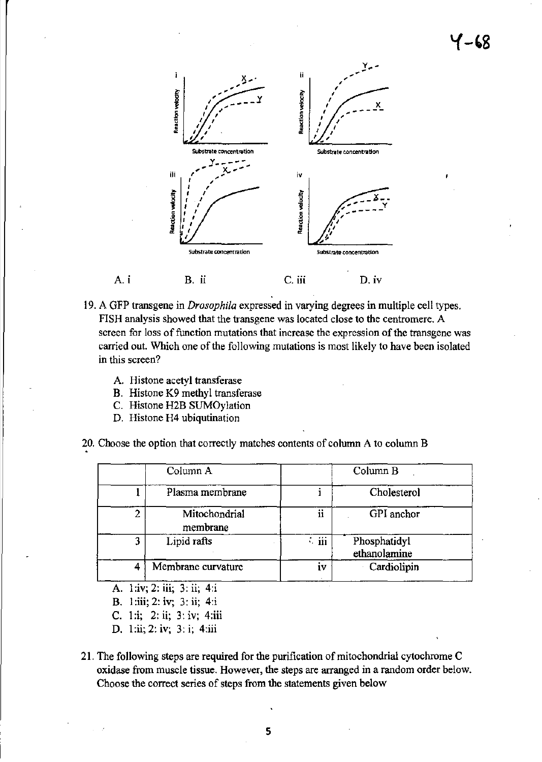



- 19. A GFP transgene in *Drosophila* expressed in varying degrees in multiple cell types. FISH analysis showed that the transgene was located close to the centromere. A screen for loss of function mutations that increase the expression of the transgene was carried out. Which one of the following mutations is most likely to have been isolated in this screen?
	- A. Histone acetyl transferase

Ai

- B. Histone K9 methyl transferase
- C. Histone H2B SUMOylation
- D. Histone H4 ubiqutination
- 20. Choose the option that correctly matches contents of column A to column B

|   | Column A                  |                          | Column B                     |  |
|---|---------------------------|--------------------------|------------------------------|--|
|   | Plasma membrane           |                          | Cholesterol                  |  |
|   | Mitochondrial<br>membrane | ii                       | GPI anchor                   |  |
| 3 | Lipid rafts               | $\ddot{\phantom{a}}$ iii | Phosphatidyl<br>ethanolamine |  |
|   | Membrane curvature        | i۷                       | Cardiolipin                  |  |

- A. 1:iv; 2: iii; 3: ii; 4:i
- B. 1 :iii; 2: iv; 3: ii; 4:i
- C. 1 :i; 2: ii; 3: iv; 4:iii
- D. l:ii; 2: iv; 3: i; 4:iii
- 21. The following steps are required for the purification of mitochondrial cytochrome C oxidase from muscle tissue. However, the steps are arranged in a random order below. Choose the correct series of steps from the statements given below

5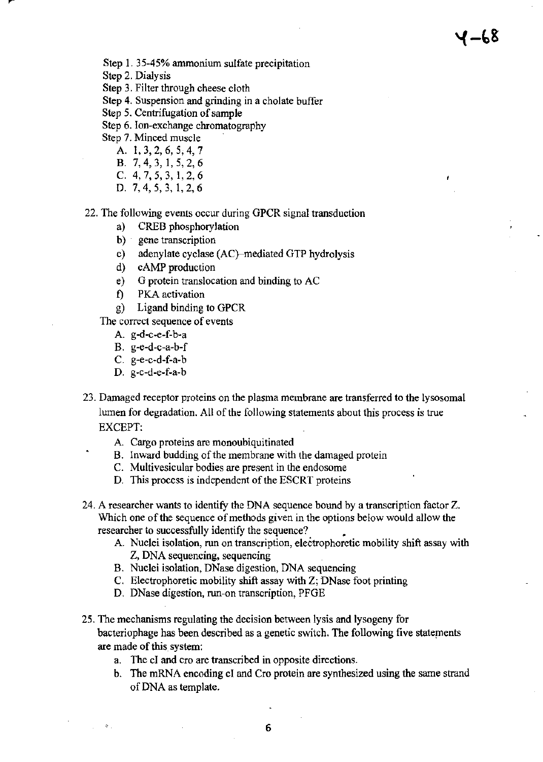Step 1. 35-45% ammonium sulfate precipitation

- Step 2. Dialysis
- Step 3. Filter through cheese cloth
- Step 4. Suspension and grinding in a cholate buffer
- Step 5. Centrifugation of sample
- Step 6. Ion-exchange chromatography
- Step 7. Minced muscle
	- A. 1,3,2,6,5,4,7
	- B. 7,4,3, 1,5,2,6
	- C. 4,7,5,3, 1,2,6
	- D. 7,4,5,3, 1,2,6

#### 22. The following events occur during GPCR signal transduction

- a) CREB phosphorylation
- b) gene transcription
- c) adenylate cyclase (AC}-mediated GTP hydrolysis
- d) cAMP production
- e) G protein translocation and binding to AC
- f) PKA activation
- g) Ligand binding to GPCR

The correct sequence of events

- A. g-d-c-e-f-b-a
- B. g-e-d-c-a-b-f
- C. g-e-c-d-f-a-b
- D. g-c-d-e-f-a-b

 $\mathcal{R}_{\mathrm{in}}$ 

- 23. Damaged receptor proteins on the plasma membrane are transferred to the lysosomal lumen for degradation. All of the following statements about this process is true EXCEPT:
	- A. Cargo proteins are monoubiquitinated
	- B. Inward budding of the membrane with the damaged protein
	- C. Multivesicular bodies are present in the endosome
	- D. This process is independent of the ESCRT proteins
- 24. A researcher wants to identify the DNA sequence bound by a transcription factor Z. Which one of the sequence of methods given in the options below would allow the researcher to successfully identify the sequence? •
	- A. Nuclei isolation, run on transcription, electrophoretic mobility shift assay with Z, DNA sequencing, sequencing
	- B. Nuclei isolation, DNase digestion, DNA sequencing
	- C. Electrophoretic mobility shift assay with Z; DNase foot printing
	- D. DNase digestion, run-on transcription, PFGE
- 25. The mechanisms regulating the decision between lysis and lysogeny for bacteriophage has been described as a genetic switch. The following five statements are made of this\_system:
	- a. The cI and cro are transcribed in opposite directions.
	- b. The mRNA encoding cI and Cro protein are synthesized using the same strand of DNA as template.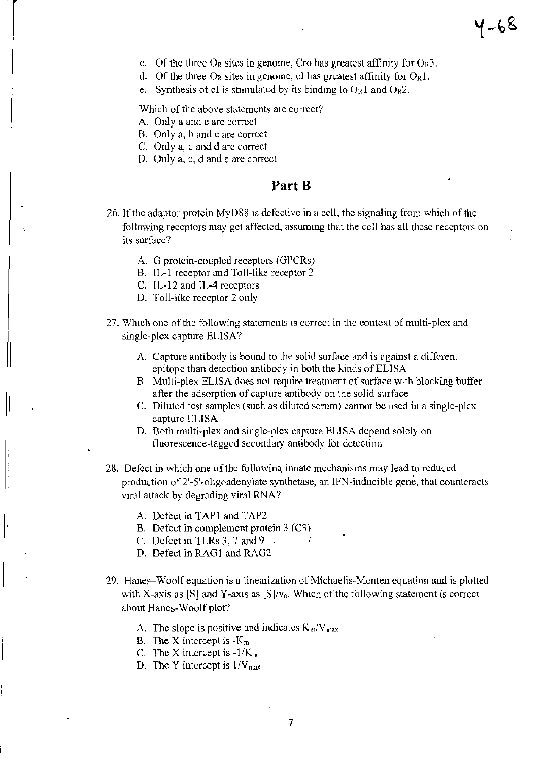- c. Of the three  $O_R$  sites in genome, Cro has greatest affinity for  $O_R3$ .
- d. Of the three  $O_R$  sites in genome, cl has greatest affinity for  $O_R1$ .
- e. Synthesis of cI is stimulated by its binding to  $O_R 1$  and  $O_R 2$ .

Which of the above statements are correct?

- A. Only a and e are correct
- B. Only a, band e are correct
- C. Only a, c and d are correct
- D. Only a, c, d and e are correct

## Part B

- 26. If the adaptor protein MyD88 is defective in a cell, the signaling from which of the following receptors may get affected, assuming that the cell has all these receptors on its surface?
	- A G protein-coupled receptors (GPCRs)
	- B. II.-1 receptor and Toll-like receptor 2
	- C. 11,-12 and **IL-4** receptors
	- D. Toll-like receptor 2 only
- 27. Which one of the following statements is correct in the context of multi-plex and single-plex capture ELISA?
	- A. Capture antibody is bound to the solid surface and is against a different epitope than detection antibody in both the kinds of ELISA
	- B. Multi-plex ELISA does not require treatment of surface with blocking buffer after the adsorption of capture antibody on the solid surface
	- C. Diluted test samples (such as diluted serum) cannot be used in a single~plex capture ELISA
	- D. Both multi-plex and single-plex capture ELISA depend solely on fluorescence-tagged secondary antibody for detection
- 28. Defect in which one of the following innate mechanisms may lead to reduced production of 2'-5'-oligoadenylate synthetase, an IFN-inducible gene, that counteracts viral attack by degrading viral RNA?
	- A. Defect in TAP1 and TAP2
	- E. Defect in complement protein 3 (C3)
	- C. Defect in TLRs 3, 7 and 9
	- D. Defect in RAG1 and RAG2
- 29. Hanes-Woolf equation is a linearization of Michaelis-Menten equation and is plotted with X-axis as  $[S]$  and Y-axis as  $[S]/v_0$ . Which of the following statement is correct about Hanes-Woolf plot?
	- A. The slope is positive and indicates *KmN* max
	- B. The X intercept is  $-K_m$
	- c. The X intercept is -l/K*<sup>m</sup>*
	- D. The Y intercept is  $1/V_{\text{max}}$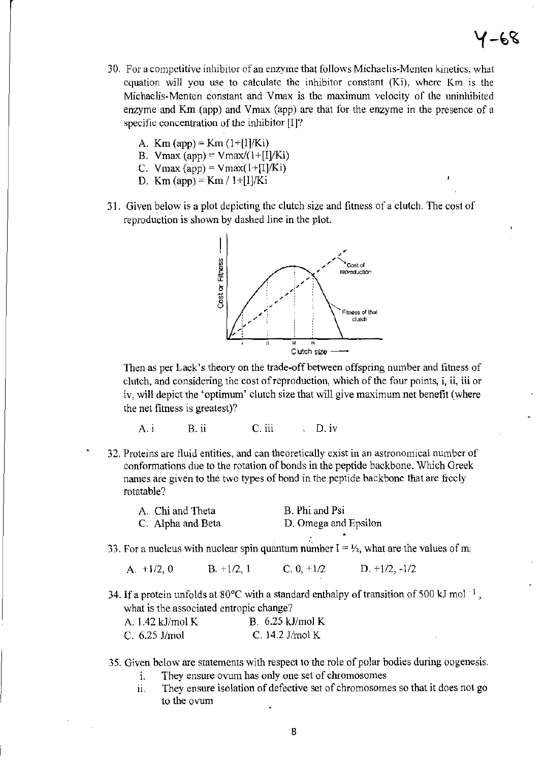# 1 –68

- 30. For a competitive inhibitor of an enzyme that follows Michaelis-Menten kinetics, what equation will you use to calculate the inhibitor constant (Ki), where Km is the Michaelis-Menten constant and Vmax is the maximum velocity of the uninhibited enzyme and Km (app) and Vmax (app) are that for the enzyme in the presence of a specific concentration of the inhibitor  $[I]$ ?
	- A.  $Km$  (app) =  $Km$  (1+[I]/Ki)
	- B. Vmax (app) = Vmax/(1+[I]/Ki)
	- C. Vmax (app) = Vmax(1+[I]/Ki)
	- D. Km (app) = Km / 1+[I]/Ki
- 31. Given below is a plot depicting the clutch size and fitness of a clutch. The cost of reproduction is shown by dashed line in the plot.



Then as per Lack's theory on the trade-off between offspring number and fitness of clutch, and considering the cost of reproduction, which of the four points, i, ii, iii or iv, wiI! depict the 'optimum' clutch size that will give maximum net benefit (where the net fitness is greatest)?

- A. i B. ii C. iii D. iv
- 32. Proteins are fluid entities, and can theoretically exist in an astronomical number of confonnations due to the rotation of bonds in the peptide backbone. Which Greek names are given to the two types of bond in the peptide backbone that are freely rotatable?

| A. Chi and Theta  | B. Phi and Psi       |
|-------------------|----------------------|
| C. Alpha and Beta | D. Omega and Epsilon |

33. For a nucleus with nuclear spin quantum number  $I = V_2$ , what are the values of mi

A.  $+1/2$ , 0 B.  $+1/2$ , 1 C. 0,  $+1/2$  D.  $+1/2$ ,  $-1/2$ 

34. If a protein unfolds at 80 $^{\circ}$ C with a standard enthalpy of transition of 500 kJ mol<sup>-1</sup>, what is the associated entropic change?

| A. 1.42 kJ/mol K | B. $6.25$ kJ/mol K |
|------------------|--------------------|
| C. 6.25 J/mol    | C. $14.2$ J/mol K  |

#### 35. Given below are statements with respect to the role of polar bodies during oogenesis.

- 1. They ensure ovum has only one set of chromosomes
- ii. They ensure isolation of defective set of chromosomes so that it does not go to the ovum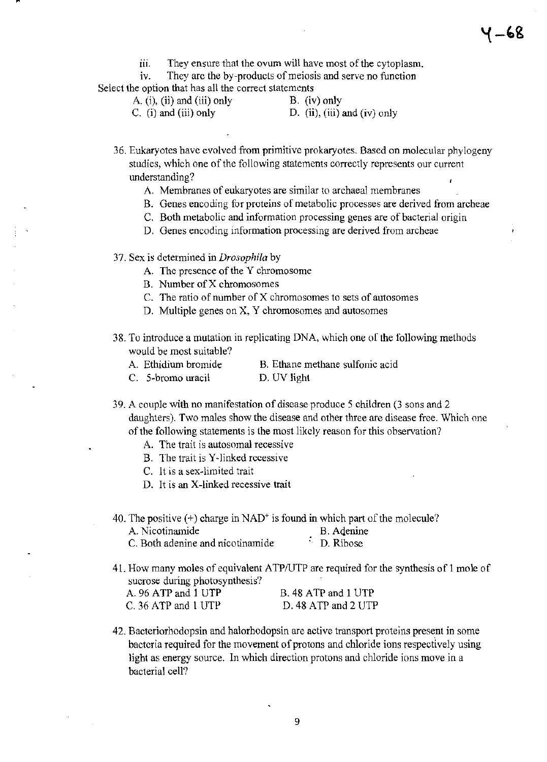ill. They ensure that the ovum will have most of the cytoplasm.

iv. They arc the by-products of meiosis and serve no function Select the option that has all the correct statements

A. (i), (ii) and (iii) only B. (iv) only

C. (i) and (iii) only  $D.$  (ii), (iii) and (iv) only

36. Eukaryotes have evolved from primitive prokaryotes. Based on molecular phylogeny studies, which one of the following statements correctly represents our current understanding?

- A. Membranes of eukaryotes are similar to archaeal membranes
- B. Genes encoding for proteins of metabolic processes are derived from archeae
- C. Both metabolic and infonnation processing genes are of bacterial origin
- D. Genes encoding information processing are derived from archeae

37. Sex is determined in *Drosophila* by

- A. The presence of the Y chromosome
- B. Number of X chromosomes
- C. The ratio of number of  $X$  chromosomes to sets of autosomes
- D. Multiple genes on X, Y chromosomes and autosomes
- 38. To introduce a mutation in replicating DNA, which one of the following methods would be most suitable?
	-
	- A. Ethidium bromide B. Ethane methane sulfonic acid
	- C. 5-bromo uracil D. UV light
- 39. A couple with no manifestation of disease produce 5 children (3 sons and 2 daughters). Two males show the disease and other three are disease free. Which one of the following statements is the most likely reason for this observation?
	- A. The trait is autosomal recessive
	- B. The trait is V-linked recessive
	- C. It is a sex-limited trait
	- D. It is an X-linked recessive trait
- 40. The positive  $(+)$  charge in NAD<sup>+</sup> is found in which part of the molecule? A. Nicotinamide<br>C. Both adenine and nicotinamide<br>C. Both adenine and nicotinamide<br>C. B. Ribose C. Both adenine and nicotinamide
- 41. How many moles of equivalent ATPIUTP are required for the synthesis of 1 mole of sucrose during photosynthesis? A. 96 ATP and 1 UTP C. 36 ATP and 1 UTP B. 48 ATP and 1 UTP D. 48 ATP and 2 UTP
- 42. Bacteriorhodopsin and halorhodopsin are active transport proteins present in some bacteria required for the movement of protons and chloride ions respectively using light as energy source. In which direction protons and chloride ions move in a bacterial cell?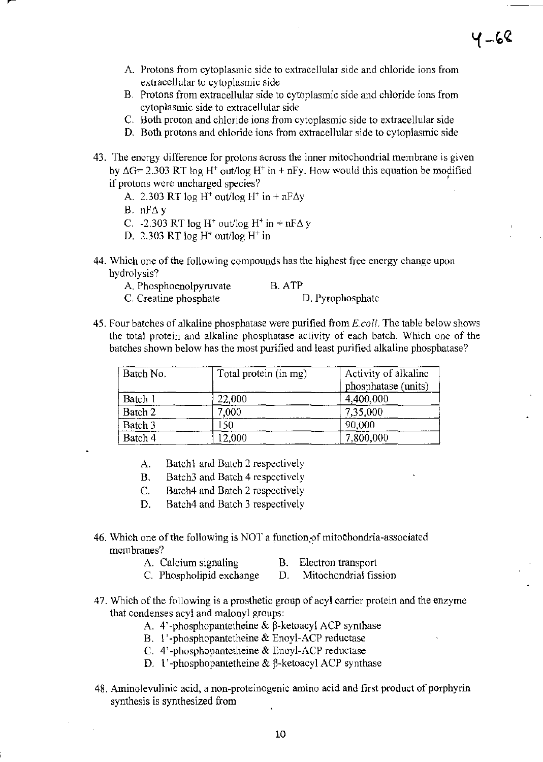- A. Protons from cytoplasmic side to extracellular side and chloride ions from extracellular to cytoplasmic side
- B. Protons from extracellular side to cytoplasmic side and chloride ions from cytoplasmic side to extracellular side
- C. Both proton and chloride ions from cytoplasmic side to extracellular side
- D. Both protons and chloride ions from extracellular side to cytoplasmic side
- 43. The energy difference for protons across the inner mitochondrial membrane is given by  $\Delta G$ = 2.303 RT log H<sup>+</sup> out/log H<sup>+</sup> in + nFy. How would this equation be modified if protons were uncharged species?
	- A. 2.303 RT log H<sup>+</sup> out/log H<sup>+</sup> in + nF $\Delta y$
	- B.  $nF\Delta y$
	- C.  $-2.303$  RT log H<sup>+</sup> out/log H<sup>+</sup> in + nF $\Delta$  y
	- D. 2.303 RT log *W* out/log H' in
- 44. Which one of the following compounds has the highest free energy change upon hydrolysis?
	- A. Phosphoenolpyruvate B. ATP

C. Creatine phosphate D. Pyrophosphate

45. Four batches of alkaline phosphatase were purified from *E. coli.* The table below shows the total protein and alkaline phosphatase activity of each batch. Which one of the batches shown below has the most purified and least purified alkaline phosphatase?

| Batch No. | Total protein (in mg) | Activity of alkaline<br>phosphatase (units) |
|-----------|-----------------------|---------------------------------------------|
| Batch 1   | 22,000                | 4,400,000                                   |
| Batch 2   | 7.000                 | 7,35,000                                    |
| Batch 3   | 150                   | 90,000                                      |
| Batch 4   | 12,000                | 7,800,000                                   |

- A. Batch1 and Batch 2 respectively
- B. Batch3 and Batch 4 respectively
- C. Batch4 and Batch 2 respectively
- D. Batch4 and Batch 3 respectively
- 46. Which one of the following is NOT a function of mitochondria-associated membranes?
	- A. Calcium signaling
- B. Electron transport
- C. Phospholipid exchange D. Mitochondrial fission
- 47. Which of the following is a prosthetic group of acyl carrier protein and the enzyme that condenses acyl and malonyl groups:
	- A. 4'-phosphopantetheine &  $\beta$ -ketoacyl ACP synthase
	- B. l'-phosphopantetheine & Enoyl-ACP reductase
	- C.  $4'$ -phosphopantetheine & Enoyl-ACP reductase
	- D. 1'-phosphopantetheine  $& \beta$ -ketoacyl ACP synthase
- 48. Aminolevulinic acid, a non-proteinogenic amino acid and first product of porphyrin synthesis is synthesized from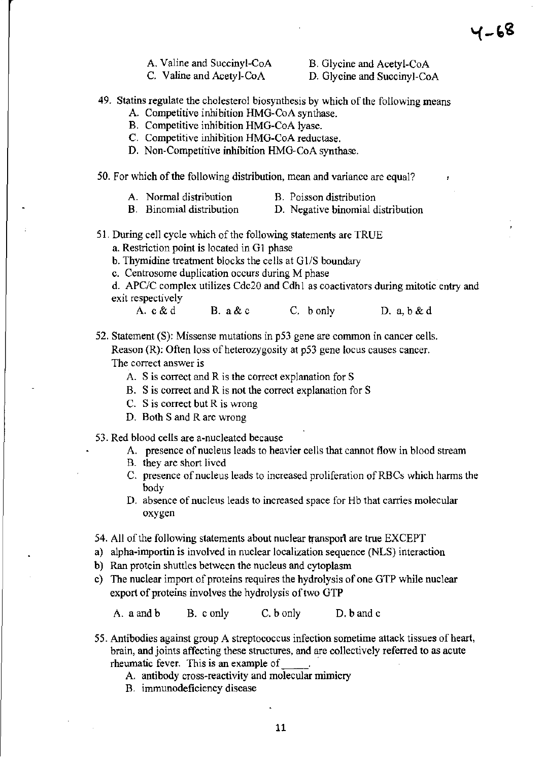A. Valine and Succinyl-CoA C. Valine and Acetyl-CoA

B. Glycine and Acetyl-CoA

D. Glycine and Succinyl-CoA

- 49. Statins regulate the cholesterol biosynthesis by which of the following means
	- A. Competitive inhibition HMG-CoA synthase.
	- B. Competitive inhibition HMO-CoA lyase.
	- C. Competitive inhibition HMO-CoA reductase.
	- D. Non-Competitive inhibition HMG-CoA synthase.

50. For which of the following distribution, mean and variance are equal?

| A. Normal distribution | B. Poisson distribution |  |
|------------------------|-------------------------|--|
|                        |                         |  |

- B. Binomial distribution D. Negative binomial distribution
- 51. During cell cycle which of the following statements are TRUE
	- a. Restriction point is located in G1 phase
	- b. Thy midine treatment blocks the cells at  $G1/S$  boundary
	- c. Centrosome duplication occurs during M phase
	- d. APC/C complex utilizes Cdc20 and Cdh 1 as coactivators during mitotic entry and exit respectively
		- A.  $c \& d$  B.  $a \& c$  C. b only D.  $a, b \& d$

52. Statement (S): Missense mutations in p53 gene are common in cancer cells. Reason (R): Often loss of heterozygosity at p53 gene locus causes cancer. The correct answer is

- A. S is correct and R is the COrrect explanation for S
- B. S is correct and R is not the correct explanation for S
- C. S is correct but R is wrong
- D. Both S and R are wrong
- 53. Red blood cells are a-nucleated because
	- A. presence of nucleus leads to heavier cells that cannot flow in blood stream
	- B. they are short lived
	- C. presence of nucleus leads to increased proliferation ofRBCs which harms the body
	- D. absence of nucleus leads to increased space for Hb that carries molecular oxygen
- 54. All of the following statements about nuclear transport are true EXCEPT
- a) alpha-importin is involved in nuclear localization sequence (NLS) interaction
- b) Ran protein shuttles between the nucleus and cytoplasm
- c) The nuclear import of proteins requires the hydrolysis of one OTP while nuclear export of proteins involves the hydrolysis of two OTP

A. a and b B. conly C. b only D. b andc

- 55. Antibodies against group A streptococcus infection sometime attack tissues of heart, brain, and joints affecting these structures, and are collectively referred to as acute rheumatic fever. This is an example of
	- A. antibody cross~reactivity and molecular mimicry
	- B. immunodeficiency disease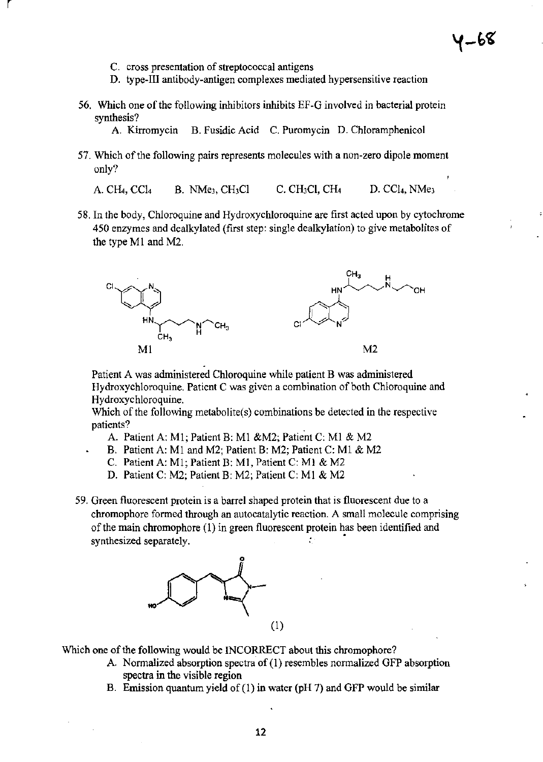**C. cross presentation of streptococcal antigens** 

r

- **D. type-III antibody-antigen complexes mediated hypersensitive reaction**
- **56. Which one** of the **following inhibitors inhibits EF-G involved in bacterial protein synthesis?** 
	- **A. Kirromycin B. Fusidic Acid C. Puromycin D. Chloramphenicol**
- **57. Which** of the **following pairs represents molecules with a non-zero dipole moment**  only?

A. CH<sub>4</sub>, CCl<sub>4</sub> B. NMe<sub>3</sub>, CH<sub>3</sub>Cl C. CH<sub>3</sub>Cl, CH<sub>4</sub> D. CCl<sub>4</sub>, NMe<sub>3</sub>

**58. In the body, Chloroquine and Hydroxychloroquine are first acted upon by cytochrome 450 enzymes and dealkylated (first step: single dealkylation) to give metabolites of**  the type MI and M2.



**Patient A was administered Chloroquine while patient B was administered Hydroxychloroquine. Patient C was given a combination** of both **Chloroquine and Hydroxychloroquine.** 

**Which** of the **following metabolite(s) combinations be detected in the respective patients?** .

- A. Patient A: MI; Patient B: MI &M2; Patient C: MI & M2
- B. Patient A: MI and M2; Patient B: M2; Patient C: MI & M2
- C. Patient A: MI; Patient B: MI, Patient C: MI & M2
- D. Patient C: M2: Patient B: M2; Patient C: MI & M2
- **59. Green fluorescent protein is a barrel shaped protein that is fluorescent due to a chromophore formed through an autocatalytic reaction. A small molecule comprising**  of the **main chromophore (1) in green fluorescent protein has been identified and synthesized separately. •**



Which one of the following would be INCORRECT about this chromophore?

- **A. Normalized absorption spectra of (1) resembles nonnalized GFP absorption spectra in the visible region**
- B. Emission quantum yield of (1) in water ( $pH$  7) and GFP would be similar